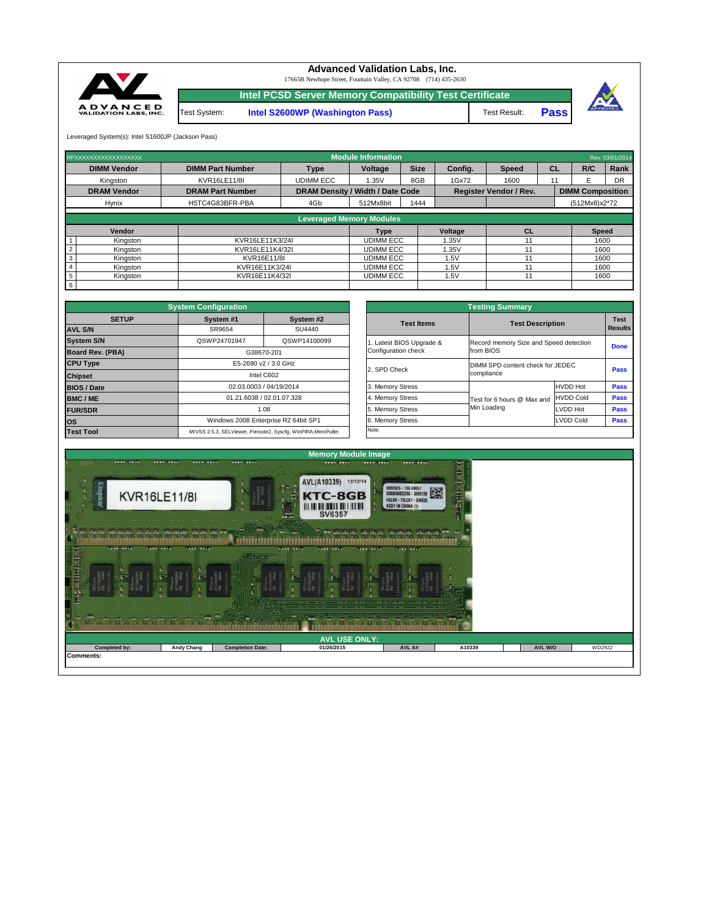Leveraged System(s): Intel S1600JP (Jackson Pass)



| RPXXXXXXXXXXXXXXXXXX            |                         |                  |                                                                          | Rev. 03/01/2014 |                |              |    |                         |           |  |  |  |  |  |
|---------------------------------|-------------------------|------------------|--------------------------------------------------------------------------|-----------------|----------------|--------------|----|-------------------------|-----------|--|--|--|--|--|
| <b>DIMM Vendor</b>              | <b>DIMM Part Number</b> | <b>Type</b>      | Voltage                                                                  | <b>Size</b>     | Config.        | <b>Speed</b> | CL |                         | Rank      |  |  |  |  |  |
| Kingston                        | <b>KVR16LE11/8I</b>     | <b>UDIMM ECC</b> | 1.35V                                                                    | 8GB             | 1Gx72          | 1600         |    | F.                      | <b>DR</b> |  |  |  |  |  |
| <b>DRAM Vendor</b>              | <b>DRAM Part Number</b> |                  | <b>DRAM Density / Width / Date Code</b><br><b>Register Vendor / Rev.</b> |                 |                |              |    | <b>DIMM Composition</b> |           |  |  |  |  |  |
| <b>Hynix</b>                    | H5TC4G83BFR-PBA         | 4Gb              | 512Mx8bit                                                                | 1444            |                |              |    | $(512Mx8)x2*72$         |           |  |  |  |  |  |
| <b>Leveraged Memory Modules</b> |                         |                  |                                                                          |                 |                |              |    |                         |           |  |  |  |  |  |
|                                 |                         |                  |                                                                          |                 |                |              |    |                         |           |  |  |  |  |  |
| Vendor                          |                         |                  | <b>Type</b>                                                              |                 | <b>Voltage</b> | <b>CL</b>    |    | <b>Speed</b>            |           |  |  |  |  |  |
| Kingston                        | KVR16LE11K3/24I         | <b>UDIMM ECC</b> |                                                                          |                 | 1.35V          | 11           |    | 1600                    |           |  |  |  |  |  |
| $\overline{2}$<br>Kingston      | KVR16LE11K4/32I         |                  | <b>UDIMM ECC</b>                                                         |                 | 1.35V          |              |    | 1600                    |           |  |  |  |  |  |
| $\mathbf{3}$<br>Kingston        | KVR16E11/8I             |                  | <b>UDIMM ECC</b>                                                         |                 | 1.5V           |              |    |                         | 1600      |  |  |  |  |  |
| $\overline{4}$<br>Kingston      | KVR16E11K3/24I          |                  | <b>UDIMM ECC</b>                                                         |                 | 1.5V           | 11           |    | 1600                    |           |  |  |  |  |  |
| $5\phantom{.0}$<br>Kingston     | KVR16E11K4/32I          |                  | <b>UDIMM ECC</b>                                                         |                 | 1.5V           | 11           |    | 1600                    |           |  |  |  |  |  |
| 6                               |                         |                  |                                                                          |                 |                |              |    |                         |           |  |  |  |  |  |

|              | <b>System Configuration</b> |                                                             |                       | <b>Testing Summary</b>                 |                         |  |  |  |
|--------------|-----------------------------|-------------------------------------------------------------|-----------------------|----------------------------------------|-------------------------|--|--|--|
| <b>SETUP</b> | System #1                   | System #2                                                   | <b>Test Items</b>     |                                        |                         |  |  |  |
|              | SR9654                      | SU4440                                                      |                       |                                        | <b>Test Description</b> |  |  |  |
|              | QSWP24701947                | QSWP14100099                                                | Latest BIOS Upgrade & | Record memory Size and Speed detection |                         |  |  |  |
| <b>BA)</b>   |                             | G38670-201                                                  | Configuration check   | from BIOS                              |                         |  |  |  |
|              |                             | E5-2690 v2 / 3.0 GHz                                        |                       | DIMM SPD content check for JEDEC       |                         |  |  |  |
|              |                             | Intel C602                                                  | 2. SPD Check          | compliance                             |                         |  |  |  |
|              |                             | 02.03.0003 / 04/19/2014                                     | 3. Memory Stress      |                                        | <b>HVDD Hot</b>         |  |  |  |
|              |                             | 01.21.6038 / 02.01.07.328                                   | 4. Memory Stress      | Test for 6 hours @ Max and             | <b>HVDD Cold</b>        |  |  |  |
|              |                             | 1.08                                                        |                       | Min Loading                            | <b>LVDD Hot</b>         |  |  |  |
|              |                             | Windows 2008 Enterprise R2 64bit SP1                        | 6. Memory Stress      |                                        | <b>LVDD Cold</b>        |  |  |  |
|              |                             | iWVSS 2.5.3, SELViewer, Pvmode2, Syscfg, WinPIRA, MemPuller | Note:                 |                                        |                         |  |  |  |

|                         | <b>System Configuration</b> |                                                             |                       | <b>Testing Summary</b>           |                                        |             |  |
|-------------------------|-----------------------------|-------------------------------------------------------------|-----------------------|----------------------------------|----------------------------------------|-------------|--|
| <b>SETUP</b>            | System #1                   | System #2                                                   | <b>Test Items</b>     |                                  | <b>Test Description</b>                |             |  |
| <b>AVL S/N</b>          | SU4440<br>SR9654            |                                                             |                       |                                  |                                        |             |  |
| <b>System S/N</b>       | QSWP24701947                | QSWP14100099                                                | Latest BIOS Upgrade & |                                  | Record memory Size and Speed detection |             |  |
| <b>Board Rev. (PBA)</b> |                             | G38670-201                                                  | Configuration check   | from BIOS                        |                                        |             |  |
| <b>CPU Type</b>         | E5-2690 v2 / 3.0 GHz        |                                                             | 2. SPD Check          | DIMM SPD content check for JEDEC |                                        |             |  |
| <b>Chipset</b>          |                             | Intel C602                                                  |                       | compliance                       |                                        |             |  |
| <b>BIOS / Date</b>      |                             | 02.03.0003 / 04/19/2014                                     | 3. Memory Stress      |                                  | <b>HVDD Hot</b>                        | <b>Pass</b> |  |
| <b>BMC/ME</b>           |                             | 01.21.6038 / 02.01.07.328                                   | 4. Memory Stress      | Test for 6 hours @ Max and       | <b>HVDD Cold</b>                       | <b>Pass</b> |  |
| <b>FUR/SDR</b>          |                             | 1.08                                                        |                       | Min Loading                      | LVDD Hot                               | <b>Pass</b> |  |
| <b>los</b>              |                             | Windows 2008 Enterprise R2 64bit SP1                        | 6. Memory Stress      |                                  | <b>LVDD Cold</b>                       | <b>Pass</b> |  |
| <b>Test Tool</b>        |                             | iWVSS 2.5.3, SELViewer, Pvmode2, Syscfg, WinPIRA, MemPuller | Note:                 |                                  |                                        |             |  |



| ņ⊾n<br><b>CONSTRUCTION</b><br>$\begin{array}{ccc} 0 & 0 & 0 \\ 0 & 0 & 0 \end{array}$<br>$-16$ $-0.0$<br>$-10 - 0.0$<br>$-0.001$ $-0.001$<br>$\begin{array}{ccc} 0.0 & 0.1 \\ 0.0 & 0.1 \\ \end{array}$<br>en de salvaria salvaria salvaria sa | <b>Andrew Arms</b><br><b>COLOR</b><br>a concerte animal son così socio, a coloro o cas. O co così cine | $-2$<br><b>Chair</b>    | $\Gamma$ $\approx$<br>ಾಜ<br>$-58$<br>$\cdots$<br>the state of the state of the state of<br>$\cdots$ | いいきょうきょう しょうきょうきょうしょう きょうきょう<br>$\cdots \cdots \cdots \cdots \cdots$<br><b>ATHRONICAL STRAIGHTS</b> |        |         |        |  |  |  |  |  |  |
|------------------------------------------------------------------------------------------------------------------------------------------------------------------------------------------------------------------------------------------------|--------------------------------------------------------------------------------------------------------|-------------------------|-----------------------------------------------------------------------------------------------------|-----------------------------------------------------------------------------------------------------|--------|---------|--------|--|--|--|--|--|--|
| <b>AVL USE ONLY:</b>                                                                                                                                                                                                                           |                                                                                                        |                         |                                                                                                     |                                                                                                     |        |         |        |  |  |  |  |  |  |
| Completed by:                                                                                                                                                                                                                                  | <b>Andy Chang</b>                                                                                      | <b>Completion Date:</b> | 01/26/2015                                                                                          | AVL A#                                                                                              | A10339 | AVL W/O | WD2922 |  |  |  |  |  |  |
| <b>Comments:</b>                                                                                                                                                                                                                               |                                                                                                        |                         |                                                                                                     |                                                                                                     |        |         |        |  |  |  |  |  |  |